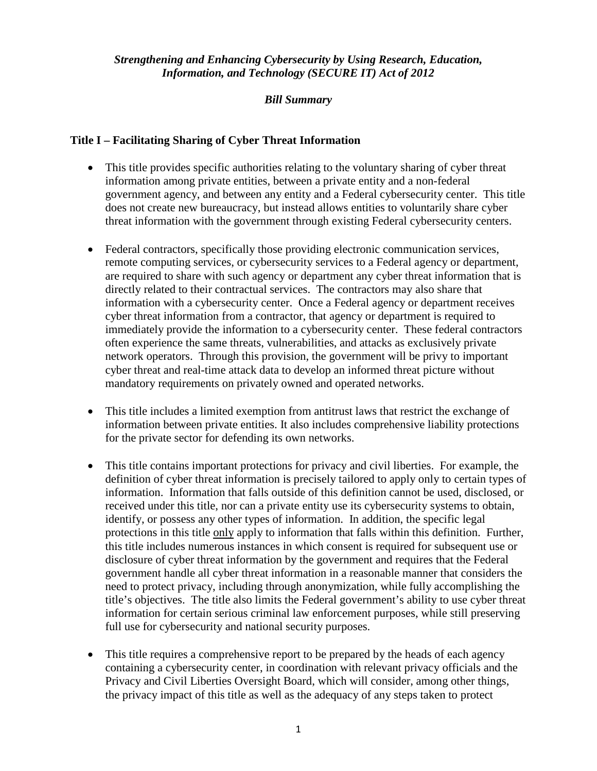## *Strengthening and Enhancing Cybersecurity by Using Research, Education, Information, and Technology (SECURE IT) Act of 2012*

## *Bill Summary*

#### **Title I – Facilitating Sharing of Cyber Threat Information**

- This title provides specific authorities relating to the voluntary sharing of cyber threat information among private entities, between a private entity and a non-federal government agency, and between any entity and a Federal cybersecurity center. This title does not create new bureaucracy, but instead allows entities to voluntarily share cyber threat information with the government through existing Federal cybersecurity centers.
- Federal contractors, specifically those providing electronic communication services, remote computing services, or cybersecurity services to a Federal agency or department, are required to share with such agency or department any cyber threat information that is directly related to their contractual services. The contractors may also share that information with a cybersecurity center. Once a Federal agency or department receives cyber threat information from a contractor, that agency or department is required to immediately provide the information to a cybersecurity center. These federal contractors often experience the same threats, vulnerabilities, and attacks as exclusively private network operators. Through this provision, the government will be privy to important cyber threat and real-time attack data to develop an informed threat picture without mandatory requirements on privately owned and operated networks.
- This title includes a limited exemption from antitrust laws that restrict the exchange of information between private entities. It also includes comprehensive liability protections for the private sector for defending its own networks.
- This title contains important protections for privacy and civil liberties. For example, the definition of cyber threat information is precisely tailored to apply only to certain types of information. Information that falls outside of this definition cannot be used, disclosed, or received under this title, nor can a private entity use its cybersecurity systems to obtain, identify, or possess any other types of information. In addition, the specific legal protections in this title only apply to information that falls within this definition. Further, this title includes numerous instances in which consent is required for subsequent use or disclosure of cyber threat information by the government and requires that the Federal government handle all cyber threat information in a reasonable manner that considers the need to protect privacy, including through anonymization, while fully accomplishing the title's objectives. The title also limits the Federal government's ability to use cyber threat information for certain serious criminal law enforcement purposes, while still preserving full use for cybersecurity and national security purposes.
- This title requires a comprehensive report to be prepared by the heads of each agency containing a cybersecurity center, in coordination with relevant privacy officials and the Privacy and Civil Liberties Oversight Board, which will consider, among other things, the privacy impact of this title as well as the adequacy of any steps taken to protect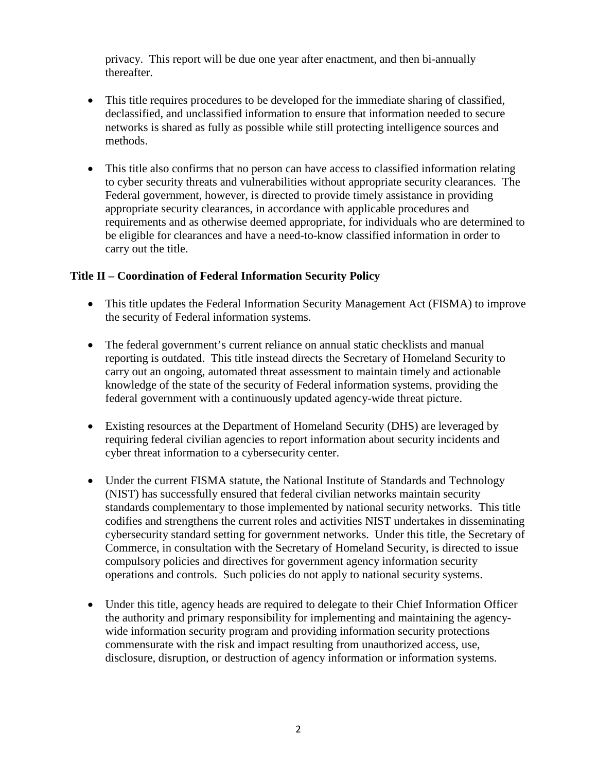privacy. This report will be due one year after enactment, and then bi-annually thereafter.

- This title requires procedures to be developed for the immediate sharing of classified, declassified, and unclassified information to ensure that information needed to secure networks is shared as fully as possible while still protecting intelligence sources and methods.
- This title also confirms that no person can have access to classified information relating to cyber security threats and vulnerabilities without appropriate security clearances. The Federal government, however, is directed to provide timely assistance in providing appropriate security clearances, in accordance with applicable procedures and requirements and as otherwise deemed appropriate, for individuals who are determined to be eligible for clearances and have a need-to-know classified information in order to carry out the title.

## **Title II – Coordination of Federal Information Security Policy**

- This title updates the Federal Information Security Management Act (FISMA) to improve the security of Federal information systems.
- The federal government's current reliance on annual static checklists and manual reporting is outdated. This title instead directs the Secretary of Homeland Security to carry out an ongoing, automated threat assessment to maintain timely and actionable knowledge of the state of the security of Federal information systems, providing the federal government with a continuously updated agency-wide threat picture.
- Existing resources at the Department of Homeland Security (DHS) are leveraged by requiring federal civilian agencies to report information about security incidents and cyber threat information to a cybersecurity center.
- Under the current FISMA statute, the National Institute of Standards and Technology (NIST) has successfully ensured that federal civilian networks maintain security standards complementary to those implemented by national security networks. This title codifies and strengthens the current roles and activities NIST undertakes in disseminating cybersecurity standard setting for government networks. Under this title, the Secretary of Commerce, in consultation with the Secretary of Homeland Security, is directed to issue compulsory policies and directives for government agency information security operations and controls. Such policies do not apply to national security systems.
- Under this title, agency heads are required to delegate to their Chief Information Officer the authority and primary responsibility for implementing and maintaining the agencywide information security program and providing information security protections commensurate with the risk and impact resulting from unauthorized access, use, disclosure, disruption, or destruction of agency information or information systems.